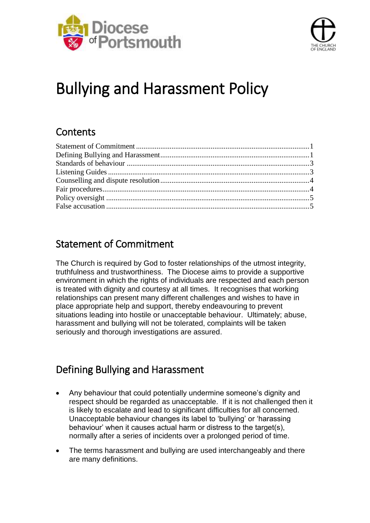



# Bullying and Harassment Policy

## **Contents**

# <span id="page-0-0"></span>Statement of Commitment

The Church is required by God to foster relationships of the utmost integrity, truthfulness and trustworthiness. The Diocese aims to provide a supportive environment in which the rights of individuals are respected and each person is treated with dignity and courtesy at all times. It recognises that working relationships can present many different challenges and wishes to have in place appropriate help and support, thereby endeavouring to prevent situations leading into hostile or unacceptable behaviour. Ultimately; abuse, harassment and bullying will not be tolerated, complaints will be taken seriously and thorough investigations are assured.

# <span id="page-0-1"></span>Defining Bullying and Harassment

- Any behaviour that could potentially undermine someone's dignity and respect should be regarded as unacceptable. If it is not challenged then it is likely to escalate and lead to significant difficulties for all concerned. Unacceptable behaviour changes its label to 'bullying' or 'harassing behaviour' when it causes actual harm or distress to the target(s), normally after a series of incidents over a prolonged period of time.
- The terms harassment and bullying are used interchangeably and there are many definitions.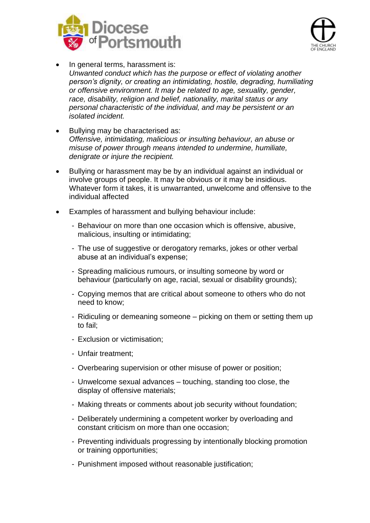



- In general terms, harassment is: *Unwanted conduct which has the purpose or effect of violating another person's dignity, or creating an intimidating, hostile, degrading, humiliating or offensive environment. It may be related to age, sexuality, gender, race, disability, religion and belief, nationality, marital status or any personal characteristic of the individual, and may be persistent or an isolated incident.*
- Bullying may be characterised as: *Offensive, intimidating, malicious or insulting behaviour, an abuse or misuse of power through means intended to undermine, humiliate, denigrate or injure the recipient.*
- Bullying or harassment may be by an individual against an individual or involve groups of people. It may be obvious or it may be insidious. Whatever form it takes, it is unwarranted, unwelcome and offensive to the individual affected
- Examples of harassment and bullying behaviour include:
	- Behaviour on more than one occasion which is offensive, abusive, malicious, insulting or intimidating;
	- The use of suggestive or derogatory remarks, jokes or other verbal abuse at an individual's expense;
	- Spreading malicious rumours, or insulting someone by word or behaviour (particularly on age, racial, sexual or disability grounds);
	- Copying memos that are critical about someone to others who do not need to know;
	- Ridiculing or demeaning someone picking on them or setting them up to fail;
	- Exclusion or victimisation;
	- Unfair treatment;
	- Overbearing supervision or other misuse of power or position;
	- Unwelcome sexual advances touching, standing too close, the display of offensive materials;
	- Making threats or comments about job security without foundation:
	- Deliberately undermining a competent worker by overloading and constant criticism on more than one occasion;
	- Preventing individuals progressing by intentionally blocking promotion or training opportunities;
	- Punishment imposed without reasonable justification;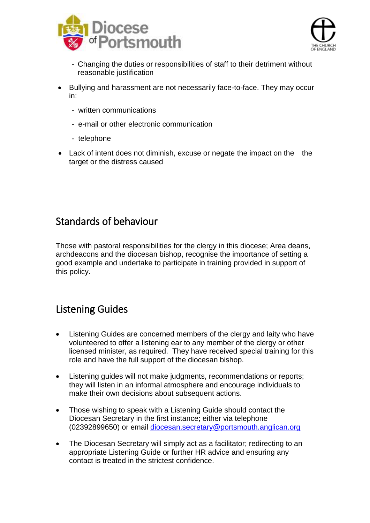



- Changing the duties or responsibilities of staff to their detriment without reasonable justification
- Bullying and harassment are not necessarily face-to-face. They may occur in:
	- written communications
	- e-mail or other electronic communication
	- telephone
- Lack of intent does not diminish, excuse or negate the impact on the the target or the distress caused

#### <span id="page-2-0"></span>Standards of behaviour

Those with pastoral responsibilities for the clergy in this diocese; Area deans, archdeacons and the diocesan bishop, recognise the importance of setting a good example and undertake to participate in training provided in support of this policy.

## <span id="page-2-1"></span>Listening Guides

- Listening Guides are concerned members of the clergy and laity who have volunteered to offer a listening ear to any member of the clergy or other licensed minister, as required. They have received special training for this role and have the full support of the diocesan bishop.
- Listening guides will not make judgments, recommendations or reports; they will listen in an informal atmosphere and encourage individuals to make their own decisions about subsequent actions.
- Those wishing to speak with a Listening Guide should contact the Diocesan Secretary in the first instance; either via telephone (02392899650) or email [diocesan.secretary@portsmouth.anglican.org](mailto:diocesan.secretary@portsmouth.anglican.org)
- The Diocesan Secretary will simply act as a facilitator; redirecting to an appropriate Listening Guide or further HR advice and ensuring any contact is treated in the strictest confidence.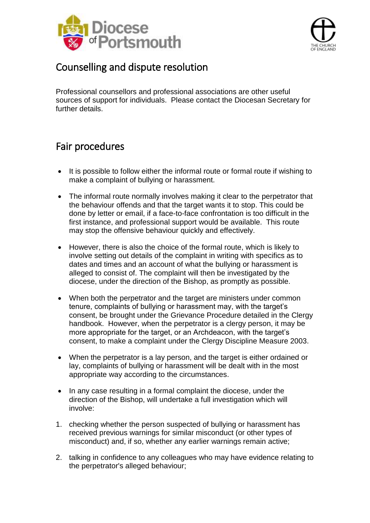



#### <span id="page-3-0"></span>Counselling and dispute resolution

<span id="page-3-1"></span>Professional counsellors and professional associations are other useful sources of support for individuals. Please contact the Diocesan Secretary for further details.

## Fair procedures

- It is possible to follow either the informal route or formal route if wishing to make a complaint of bullying or harassment.
- The informal route normally involves making it clear to the perpetrator that the behaviour offends and that the target wants it to stop. This could be done by letter or email, if a face-to-face confrontation is too difficult in the first instance, and professional support would be available. This route may stop the offensive behaviour quickly and effectively.
- However, there is also the choice of the formal route, which is likely to involve setting out details of the complaint in writing with specifics as to dates and times and an account of what the bullying or harassment is alleged to consist of. The complaint will then be investigated by the diocese, under the direction of the Bishop, as promptly as possible.
- When both the perpetrator and the target are ministers under common tenure, complaints of bullying or harassment may, with the target's consent, be brought under the Grievance Procedure detailed in the Clergy handbook. However, when the perpetrator is a clergy person, it may be more appropriate for the target, or an Archdeacon, with the target's consent, to make a complaint under the Clergy Discipline Measure 2003.
- When the perpetrator is a lay person, and the target is either ordained or lay, complaints of bullying or harassment will be dealt with in the most appropriate way according to the circumstances.
- In any case resulting in a formal complaint the diocese, under the direction of the Bishop, will undertake a full investigation which will involve:
- 1. checking whether the person suspected of bullying or harassment has received previous warnings for similar misconduct (or other types of misconduct) and, if so, whether any earlier warnings remain active;
- 2. talking in confidence to any colleagues who may have evidence relating to the perpetrator's alleged behaviour;